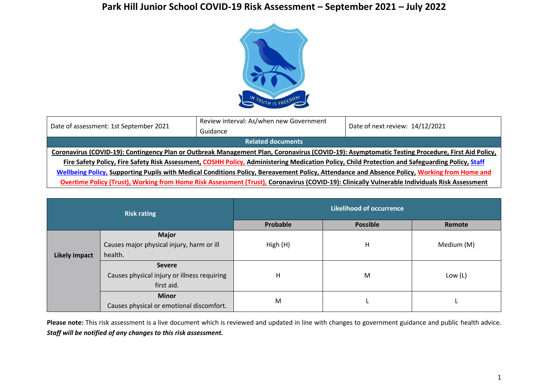## **Park Hill Junior School COVID-19 Risk Assessment – September 2021 – July 2022**



| Date of assessment: 1st September 2021                                                                                                          | Review interval: As/when new Government<br>Guidance                                                                                             | Date of next review: 14/12/2021 |  |  |  |  |
|-------------------------------------------------------------------------------------------------------------------------------------------------|-------------------------------------------------------------------------------------------------------------------------------------------------|---------------------------------|--|--|--|--|
| <b>Related documents</b>                                                                                                                        |                                                                                                                                                 |                                 |  |  |  |  |
| Coronavirus (COVID-19): Contingency Plan or Outbreak Management Plan, Coronavirus (COVID-19): Asymptomatic Testing Procedure, First Aid Policy, |                                                                                                                                                 |                                 |  |  |  |  |
|                                                                                                                                                 | Fire Safety Policy, Fire Safety Risk Assessment, COSHH Policy, Administering Medication Policy, Child Protection and Safeguarding Policy, Staff |                                 |  |  |  |  |
| Wellbeing Policy, Supporting Pupils with Medical Conditions Policy, Bereavement Policy, Attendance and Absence Policy, Working from Home and    |                                                                                                                                                 |                                 |  |  |  |  |
| Overtime Policy (Trust), Working from Home Risk Assessment (Trust), Coronavirus (COVID-19): Clinically Vulnerable Individuals Risk Assessment   |                                                                                                                                                 |                                 |  |  |  |  |

| <b>Risk rating</b>   |                                                                            | <b>Likelihood of occurrence</b> |                 |            |  |
|----------------------|----------------------------------------------------------------------------|---------------------------------|-----------------|------------|--|
|                      |                                                                            | Probable                        | <b>Possible</b> | Remote     |  |
| <b>Likely impact</b> | <b>Major</b><br>Causes major physical injury, harm or ill<br>health.       | High (H)                        | Н               | Medium (M) |  |
|                      | <b>Severe</b><br>Causes physical injury or illness requiring<br>first aid. | Η                               | M               | Low $(L)$  |  |
|                      | <b>Minor</b><br>Causes physical or emotional discomfort.                   | M                               |                 |            |  |

Please note: This risk assessment is a live document which is reviewed and updated in line with changes to government guidance and public health advice. *Staff will be notified of any changes to this risk assessment.*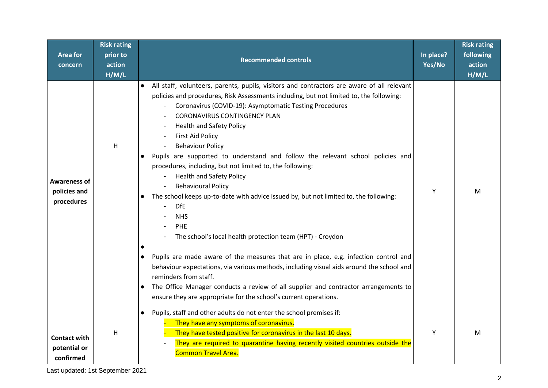| <b>Area for</b><br>concern                        | <b>Risk rating</b><br>prior to<br>action<br>H/M/L | <b>Recommended controls</b>                                                                                                                                                                                                                                                                                                                                                                                                                                                                                                                                                                                                                                                                                                                                                                                                                                                                                                                                                                                                                                                                                                                                                               | In place?<br>Yes/No | <b>Risk rating</b><br>following<br>action<br>H/M/L |
|---------------------------------------------------|---------------------------------------------------|-------------------------------------------------------------------------------------------------------------------------------------------------------------------------------------------------------------------------------------------------------------------------------------------------------------------------------------------------------------------------------------------------------------------------------------------------------------------------------------------------------------------------------------------------------------------------------------------------------------------------------------------------------------------------------------------------------------------------------------------------------------------------------------------------------------------------------------------------------------------------------------------------------------------------------------------------------------------------------------------------------------------------------------------------------------------------------------------------------------------------------------------------------------------------------------------|---------------------|----------------------------------------------------|
| <b>Awareness of</b><br>policies and<br>procedures | H                                                 | All staff, volunteers, parents, pupils, visitors and contractors are aware of all relevant<br>policies and procedures, Risk Assessments including, but not limited to, the following:<br>Coronavirus (COVID-19): Asymptomatic Testing Procedures<br><b>CORONAVIRUS CONTINGENCY PLAN</b><br><b>Health and Safety Policy</b><br><b>First Aid Policy</b><br><b>Behaviour Policy</b><br>Pupils are supported to understand and follow the relevant school policies and<br>procedures, including, but not limited to, the following:<br><b>Health and Safety Policy</b><br><b>Behavioural Policy</b><br>The school keeps up-to-date with advice issued by, but not limited to, the following:<br>$\bullet$<br><b>DfE</b><br><b>NHS</b><br>PHE<br>The school's local health protection team (HPT) - Croydon<br>Pupils are made aware of the measures that are in place, e.g. infection control and<br>$\bullet$<br>behaviour expectations, via various methods, including visual aids around the school and<br>reminders from staff.<br>The Office Manager conducts a review of all supplier and contractor arrangements to<br>ensure they are appropriate for the school's current operations. | Y                   | М                                                  |
| <b>Contact with</b><br>potential or<br>confirmed  | H                                                 | Pupils, staff and other adults do not enter the school premises if:<br>$\bullet$<br>They have any symptoms of coronavirus.<br>They have tested positive for coronavirus in the last 10 days.<br>They are required to quarantine having recently visited countries outside the<br><b>Common Travel Area.</b>                                                                                                                                                                                                                                                                                                                                                                                                                                                                                                                                                                                                                                                                                                                                                                                                                                                                               | Y                   | м                                                  |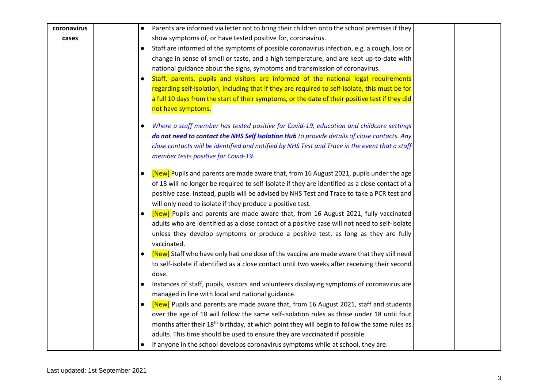| coronavirus | Parents are informed via letter not to bring their children onto the school premises if they                                          |
|-------------|---------------------------------------------------------------------------------------------------------------------------------------|
| cases       | show symptoms of, or have tested positive for, coronavirus.                                                                           |
|             | Staff are informed of the symptoms of possible coronavirus infection, e.g. a cough, loss or<br>$\bullet$                              |
|             | change in sense of smell or taste, and a high temperature, and are kept up-to-date with                                               |
|             | national guidance about the signs, symptoms and transmission of coronavirus.                                                          |
|             | Staff, parents, pupils and visitors are informed of the national legal requirements                                                   |
|             | regarding self-isolation, including that if they are required to self-isolate, this must be for                                       |
|             | a full 10 days from the start of their symptoms, or the date of their positive test if they did                                       |
|             | not have symptoms.                                                                                                                    |
|             | Where a staff member has tested positive for Covid-19, education and childcare settings<br>$\bullet$                                  |
|             | do not need to contact the NHS Self Isolation Hub to provide details of close contacts. Any                                           |
|             | close contacts will be identified and notified by NHS Test and Trace in the event that a staff<br>member tests positive for Covid-19. |
|             | [New] Pupils and parents are made aware that, from 16 August 2021, pupils under the age<br>$\bullet$                                  |
|             | of 18 will no longer be required to self-isolate if they are identified as a close contact of a                                       |
|             | positive case. Instead, pupils will be advised by NHS Test and Trace to take a PCR test and                                           |
|             | will only need to isolate if they produce a positive test.                                                                            |
|             | [New] Pupils and parents are made aware that, from 16 August 2021, fully vaccinated<br>$\bullet$                                      |
|             | adults who are identified as a close contact of a positive case will not need to self-isolate                                         |
|             | unless they develop symptoms or produce a positive test, as long as they are fully                                                    |
|             | vaccinated.                                                                                                                           |
|             | [New] Staff who have only had one dose of the vaccine are made aware that they still need<br>$\bullet$                                |
|             | to self-isolate if identified as a close contact until two weeks after receiving their second                                         |
|             | dose.                                                                                                                                 |
|             | Instances of staff, pupils, visitors and volunteers displaying symptoms of coronavirus are<br>$\bullet$                               |
|             | managed in line with local and national guidance.                                                                                     |
|             | [New] Pupils and parents are made aware that, from 16 August 2021, staff and students<br>$\bullet$                                    |
|             | over the age of 18 will follow the same self-isolation rules as those under 18 until four                                             |
|             | months after their 18 <sup>th</sup> birthday, at which point they will begin to follow the same rules as                              |
|             | adults. This time should be used to ensure they are vaccinated if possible.                                                           |
|             | If anyone in the school develops coronavirus symptoms while at school, they are:<br>$\bullet$                                         |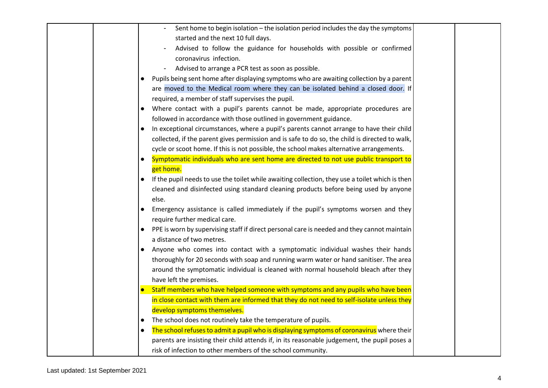|           | Sent home to begin isolation - the isolation period includes the day the symptoms               |
|-----------|-------------------------------------------------------------------------------------------------|
|           | started and the next 10 full days.                                                              |
|           | Advised to follow the guidance for households with possible or confirmed                        |
|           | coronavirus infection.                                                                          |
|           | Advised to arrange a PCR test as soon as possible.                                              |
| $\bullet$ | Pupils being sent home after displaying symptoms who are awaiting collection by a parent        |
|           | are moved to the Medical room where they can be isolated behind a closed door. If               |
|           | required, a member of staff supervises the pupil.                                               |
|           | Where contact with a pupil's parents cannot be made, appropriate procedures are                 |
|           | followed in accordance with those outlined in government guidance.                              |
|           | In exceptional circumstances, where a pupil's parents cannot arrange to have their child        |
|           | collected, if the parent gives permission and is safe to do so, the child is directed to walk,  |
|           | cycle or scoot home. If this is not possible, the school makes alternative arrangements.        |
| $\bullet$ | Symptomatic individuals who are sent home are directed to not use public transport to           |
|           | get home.                                                                                       |
|           | If the pupil needs to use the toilet while awaiting collection, they use a toilet which is then |
|           | cleaned and disinfected using standard cleaning products before being used by anyone            |
|           | else.                                                                                           |
|           | Emergency assistance is called immediately if the pupil's symptoms worsen and they              |
|           | require further medical care.                                                                   |
|           | PPE is worn by supervising staff if direct personal care is needed and they cannot maintain     |
|           | a distance of two metres.                                                                       |
|           | Anyone who comes into contact with a symptomatic individual washes their hands                  |
|           | thoroughly for 20 seconds with soap and running warm water or hand sanitiser. The area          |
|           | around the symptomatic individual is cleaned with normal household bleach after they            |
|           | have left the premises.                                                                         |
|           | Staff members who have helped someone with symptoms and any pupils who have been                |
|           | in close contact with them are informed that they do not need to self-isolate unless they       |
|           | develop symptoms themselves.                                                                    |
| $\bullet$ | The school does not routinely take the temperature of pupils.                                   |
| $\bullet$ | The school refuses to admit a pupil who is displaying symptoms of coronavirus where their       |
|           | parents are insisting their child attends if, in its reasonable judgement, the pupil poses a    |
|           | risk of infection to other members of the school community.                                     |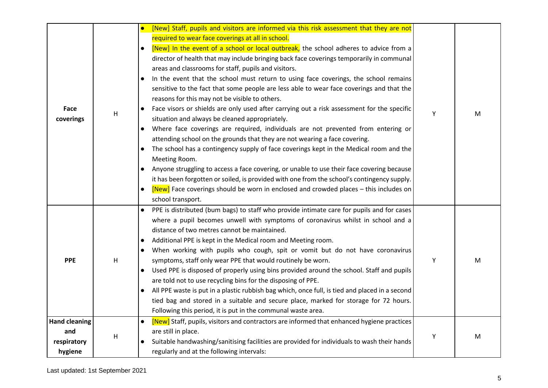| Face<br>coverings                                     | Н            | [New] Staff, pupils and visitors are informed via this risk assessment that they are not<br>$\bullet$<br>required to wear face coverings at all in school.<br>[New] In the event of a school or local outbreak, the school adheres to advice from a<br>$\bullet$<br>director of health that may include bringing back face coverings temporarily in communal<br>areas and classrooms for staff, pupils and visitors.<br>In the event that the school must return to using face coverings, the school remains<br>$\bullet$<br>sensitive to the fact that some people are less able to wear face coverings and that the<br>reasons for this may not be visible to others.<br>Face visors or shields are only used after carrying out a risk assessment for the specific<br>$\bullet$<br>situation and always be cleaned appropriately.<br>Where face coverings are required, individuals are not prevented from entering or<br>$\bullet$<br>attending school on the grounds that they are not wearing a face covering.<br>The school has a contingency supply of face coverings kept in the Medical room and the<br>$\bullet$<br>Meeting Room. | Υ | M |
|-------------------------------------------------------|--------------|----------------------------------------------------------------------------------------------------------------------------------------------------------------------------------------------------------------------------------------------------------------------------------------------------------------------------------------------------------------------------------------------------------------------------------------------------------------------------------------------------------------------------------------------------------------------------------------------------------------------------------------------------------------------------------------------------------------------------------------------------------------------------------------------------------------------------------------------------------------------------------------------------------------------------------------------------------------------------------------------------------------------------------------------------------------------------------------------------------------------------------------------|---|---|
|                                                       |              | Anyone struggling to access a face covering, or unable to use their face covering because<br>it has been forgotten or soiled, is provided with one from the school's contingency supply.<br>[New] Face coverings should be worn in enclosed and crowded places - this includes on<br>$\bullet$<br>school transport.                                                                                                                                                                                                                                                                                                                                                                                                                                                                                                                                                                                                                                                                                                                                                                                                                          |   |   |
| <b>PPE</b>                                            | H            | PPE is distributed (bum bags) to staff who provide intimate care for pupils and for cases<br>$\bullet$<br>where a pupil becomes unwell with symptoms of coronavirus whilst in school and a<br>distance of two metres cannot be maintained.<br>Additional PPE is kept in the Medical room and Meeting room.<br>$\bullet$<br>When working with pupils who cough, spit or vomit but do not have coronavirus<br>$\bullet$<br>symptoms, staff only wear PPE that would routinely be worn.<br>Used PPE is disposed of properly using bins provided around the school. Staff and pupils<br>$\bullet$<br>are told not to use recycling bins for the disposing of PPE.<br>All PPE waste is put in a plastic rubbish bag which, once full, is tied and placed in a second<br>$\bullet$<br>tied bag and stored in a suitable and secure place, marked for storage for 72 hours.<br>Following this period, it is put in the communal waste area.                                                                                                                                                                                                         | Y | M |
| <b>Hand cleaning</b><br>and<br>respiratory<br>hygiene | $\mathsf{H}$ | [New] Staff, pupils, visitors and contractors are informed that enhanced hygiene practices<br>$\bullet$<br>are still in place.<br>Suitable handwashing/sanitising facilities are provided for individuals to wash their hands<br>$\bullet$<br>regularly and at the following intervals:                                                                                                                                                                                                                                                                                                                                                                                                                                                                                                                                                                                                                                                                                                                                                                                                                                                      | Y | M |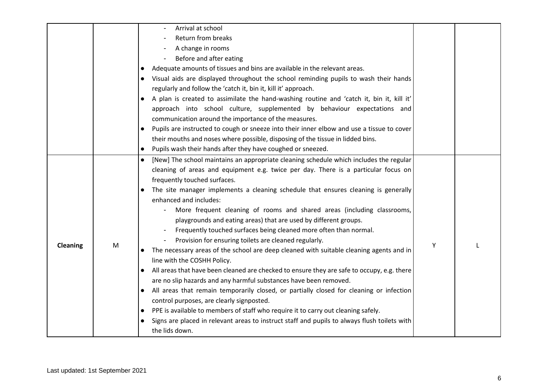|          |   | Arrival at school                                                                                       |   |  |
|----------|---|---------------------------------------------------------------------------------------------------------|---|--|
|          |   | Return from breaks                                                                                      |   |  |
|          |   | A change in rooms                                                                                       |   |  |
|          |   | Before and after eating<br>$\overline{\phantom{a}}$                                                     |   |  |
|          |   | Adequate amounts of tissues and bins are available in the relevant areas.<br>$\bullet$                  |   |  |
|          |   | Visual aids are displayed throughout the school reminding pupils to wash their hands                    |   |  |
|          |   | regularly and follow the 'catch it, bin it, kill it' approach.                                          |   |  |
|          |   | A plan is created to assimilate the hand-washing routine and 'catch it, bin it, kill it'                |   |  |
|          |   | approach into school culture, supplemented by behaviour expectations and                                |   |  |
|          |   | communication around the importance of the measures.                                                    |   |  |
|          |   | Pupils are instructed to cough or sneeze into their inner elbow and use a tissue to cover<br>$\bullet$  |   |  |
|          |   | their mouths and noses where possible, disposing of the tissue in lidded bins.                          |   |  |
|          |   | Pupils wash their hands after they have coughed or sneezed.<br>$\bullet$                                |   |  |
|          |   | [New] The school maintains an appropriate cleaning schedule which includes the regular<br>$\bullet$     |   |  |
|          |   | cleaning of areas and equipment e.g. twice per day. There is a particular focus on                      |   |  |
|          |   | frequently touched surfaces.                                                                            |   |  |
|          |   | The site manager implements a cleaning schedule that ensures cleaning is generally                      |   |  |
|          |   | enhanced and includes:                                                                                  |   |  |
|          |   | More frequent cleaning of rooms and shared areas (including classrooms,                                 |   |  |
|          |   | playgrounds and eating areas) that are used by different groups.                                        |   |  |
|          |   | Frequently touched surfaces being cleaned more often than normal.                                       |   |  |
| Cleaning | M | Provision for ensuring toilets are cleaned regularly.                                                   | Y |  |
|          |   | The necessary areas of the school are deep cleaned with suitable cleaning agents and in                 |   |  |
|          |   | line with the COSHH Policy.                                                                             |   |  |
|          |   | All areas that have been cleaned are checked to ensure they are safe to occupy, e.g. there<br>$\bullet$ |   |  |
|          |   | are no slip hazards and any harmful substances have been removed.                                       |   |  |
|          |   | All areas that remain temporarily closed, or partially closed for cleaning or infection<br>$\bullet$    |   |  |
|          |   | control purposes, are clearly signposted.                                                               |   |  |
|          |   | PPE is available to members of staff who require it to carry out cleaning safely.<br>$\bullet$          |   |  |
|          |   | Signs are placed in relevant areas to instruct staff and pupils to always flush toilets with            |   |  |
|          |   | the lids down.                                                                                          |   |  |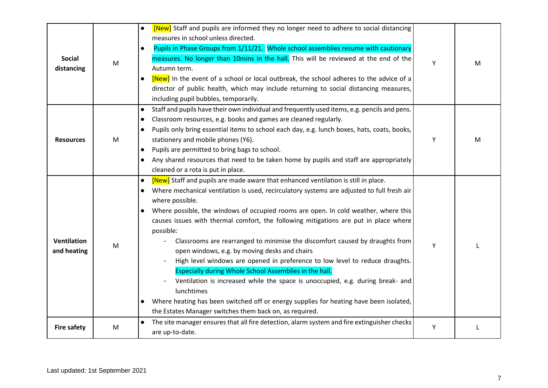|                    |   | [New] Staff and pupils are informed they no longer need to adhere to social distancing<br>$\bullet$       |   |   |
|--------------------|---|-----------------------------------------------------------------------------------------------------------|---|---|
|                    |   | measures in school unless directed.                                                                       |   |   |
|                    |   | Pupils in Phase Groups from 1/11/21. Whole school assemblies resume with cautionary<br>$\bullet$          |   |   |
| <b>Social</b>      | M | measures. No longer than 10mins in the hall. This will be reviewed at the end of the                      | Y | м |
| distancing         |   | Autumn term.                                                                                              |   |   |
|                    |   | [New] In the event of a school or local outbreak, the school adheres to the advice of a<br>$\bullet$      |   |   |
|                    |   | director of public health, which may include returning to social distancing measures,                     |   |   |
|                    |   | including pupil bubbles, temporarily.                                                                     |   |   |
|                    |   | Staff and pupils have their own individual and frequently used items, e.g. pencils and pens.<br>$\bullet$ |   |   |
|                    |   | Classroom resources, e.g. books and games are cleaned regularly.<br>$\bullet$                             |   |   |
|                    |   | Pupils only bring essential items to school each day, e.g. lunch boxes, hats, coats, books,<br>$\bullet$  |   |   |
| <b>Resources</b>   | M | stationery and mobile phones (Y6).                                                                        | Y | M |
|                    |   | Pupils are permitted to bring bags to school.<br>$\bullet$                                                |   |   |
|                    |   | Any shared resources that need to be taken home by pupils and staff are appropriately<br>$\bullet$        |   |   |
|                    |   | cleaned or a rota is put in place.                                                                        |   |   |
|                    |   | [New] Staff and pupils are made aware that enhanced ventilation is still in place.<br>$\bullet$           |   |   |
|                    |   | Where mechanical ventilation is used, recirculatory systems are adjusted to full fresh air<br>$\bullet$   |   |   |
|                    | M | where possible.                                                                                           |   |   |
|                    |   | Where possible, the windows of occupied rooms are open. In cold weather, where this<br>$\bullet$          |   |   |
|                    |   | causes issues with thermal comfort, the following mitigations are put in place where                      |   |   |
|                    |   | possible:                                                                                                 |   |   |
| Ventilation        |   | Classrooms are rearranged to minimise the discomfort caused by draughts from                              |   |   |
| and heating        |   | open windows, e.g. by moving desks and chairs                                                             | Υ |   |
|                    |   | High level windows are opened in preference to low level to reduce draughts.                              |   |   |
|                    |   | Especially during Whole School Assemblies in the hall.                                                    |   |   |
|                    |   | Ventilation is increased while the space is unoccupied, e.g. during break- and                            |   |   |
|                    |   | lunchtimes                                                                                                |   |   |
|                    |   | Where heating has been switched off or energy supplies for heating have been isolated,<br>$\bullet$       |   |   |
|                    |   | the Estates Manager switches them back on, as required.                                                   |   |   |
|                    |   | The site manager ensures that all fire detection, alarm system and fire extinguisher checks               |   |   |
| <b>Fire safety</b> | M | are up-to-date.                                                                                           | Y |   |
|                    |   |                                                                                                           |   |   |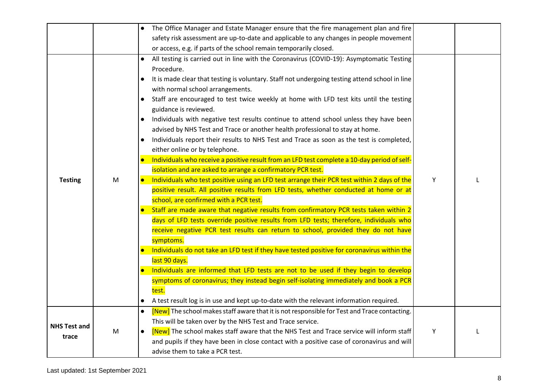|                              |           | The Office Manager and Estate Manager ensure that the fire management plan and fire                                                                                                                                                                                                                                                                                                                                                                                                                                                                                                                                                                                                                                                                                                                                                                                                                                                                                                                                                                                                              |   |  |
|------------------------------|-----------|--------------------------------------------------------------------------------------------------------------------------------------------------------------------------------------------------------------------------------------------------------------------------------------------------------------------------------------------------------------------------------------------------------------------------------------------------------------------------------------------------------------------------------------------------------------------------------------------------------------------------------------------------------------------------------------------------------------------------------------------------------------------------------------------------------------------------------------------------------------------------------------------------------------------------------------------------------------------------------------------------------------------------------------------------------------------------------------------------|---|--|
|                              |           | safety risk assessment are up-to-date and applicable to any changes in people movement                                                                                                                                                                                                                                                                                                                                                                                                                                                                                                                                                                                                                                                                                                                                                                                                                                                                                                                                                                                                           |   |  |
|                              |           | or access, e.g. if parts of the school remain temporarily closed.                                                                                                                                                                                                                                                                                                                                                                                                                                                                                                                                                                                                                                                                                                                                                                                                                                                                                                                                                                                                                                |   |  |
| <b>Testing</b>               | M         | All testing is carried out in line with the Coronavirus (COVID-19): Asymptomatic Testing<br>Procedure.<br>It is made clear that testing is voluntary. Staff not undergoing testing attend school in line<br>with normal school arrangements.<br>Staff are encouraged to test twice weekly at home with LFD test kits until the testing<br>$\bullet$<br>guidance is reviewed.<br>Individuals with negative test results continue to attend school unless they have been<br>$\bullet$<br>advised by NHS Test and Trace or another health professional to stay at home.<br>Individuals report their results to NHS Test and Trace as soon as the test is completed,<br>$\bullet$<br>either online or by telephone.<br>Individuals who receive a positive result from an LFD test complete a 10-day period of self-<br>$\bullet$<br>isolation and are asked to arrange a confirmatory PCR test.<br>Individuals who test positive using an LFD test arrange their PCR test within 2 days of the<br>$\bullet$<br>positive result. All positive results from LFD tests, whether conducted at home or at | Y |  |
|                              |           | school, are confirmed with a PCR test.<br>Staff are made aware that negative results from confirmatory PCR tests taken within 2<br>days of LFD tests override positive results from LFD tests; therefore, individuals who<br>receive negative PCR test results can return to school, provided they do not have<br>symptoms.<br>Individuals do not take an LFD test if they have tested positive for coronavirus within the<br>last 90 days.<br>Individuals are informed that LFD tests are not to be used if they begin to develop<br>symptoms of coronavirus; they instead begin self-isolating immediately and book a PCR<br>test.<br>A test result log is in use and kept up-to-date with the relevant information required.<br>$\bullet$                                                                                                                                                                                                                                                                                                                                                     |   |  |
| <b>NHS Test and</b><br>trace | ${\sf M}$ | [New] The school makes staff aware that it is not responsible for Test and Trace contacting.<br>$\bullet$<br>This will be taken over by the NHS Test and Trace service.<br>[New] The school makes staff aware that the NHS Test and Trace service will inform staff<br>$\bullet$<br>and pupils if they have been in close contact with a positive case of coronavirus and will<br>advise them to take a PCR test.                                                                                                                                                                                                                                                                                                                                                                                                                                                                                                                                                                                                                                                                                | Y |  |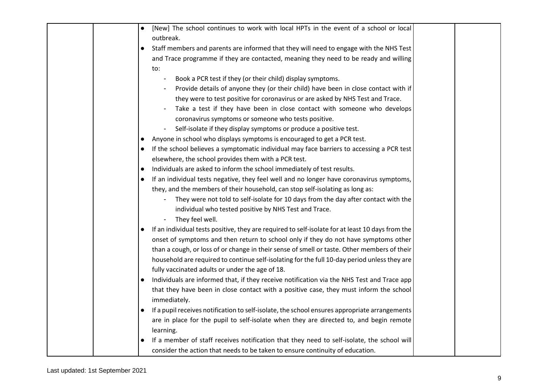|  | [New] The school continues to work with local HPTs in the event of a school or local<br>$\bullet$             |
|--|---------------------------------------------------------------------------------------------------------------|
|  | outbreak.                                                                                                     |
|  | Staff members and parents are informed that they will need to engage with the NHS Test<br>$\bullet$           |
|  | and Trace programme if they are contacted, meaning they need to be ready and willing                          |
|  | to:                                                                                                           |
|  | Book a PCR test if they (or their child) display symptoms.                                                    |
|  | Provide details of anyone they (or their child) have been in close contact with if                            |
|  | they were to test positive for coronavirus or are asked by NHS Test and Trace.                                |
|  | Take a test if they have been in close contact with someone who develops                                      |
|  | coronavirus symptoms or someone who tests positive.                                                           |
|  | Self-isolate if they display symptoms or produce a positive test.                                             |
|  | Anyone in school who displays symptoms is encouraged to get a PCR test.<br>$\bullet$                          |
|  | If the school believes a symptomatic individual may face barriers to accessing a PCR test                     |
|  | elsewhere, the school provides them with a PCR test.                                                          |
|  | Individuals are asked to inform the school immediately of test results.<br>$\bullet$                          |
|  | If an individual tests negative, they feel well and no longer have coronavirus symptoms,<br>$\bullet$         |
|  | they, and the members of their household, can stop self-isolating as long as:                                 |
|  | They were not told to self-isolate for 10 days from the day after contact with the                            |
|  | individual who tested positive by NHS Test and Trace.                                                         |
|  | They feel well.                                                                                               |
|  | If an individual tests positive, they are required to self-isolate for at least 10 days from the<br>$\bullet$ |
|  | onset of symptoms and then return to school only if they do not have symptoms other                           |
|  | than a cough, or loss of or change in their sense of smell or taste. Other members of their                   |
|  | household are required to continue self-isolating for the full 10-day period unless they are                  |
|  | fully vaccinated adults or under the age of 18.                                                               |
|  | Individuals are informed that, if they receive notification via the NHS Test and Trace app<br>$\bullet$       |
|  | that they have been in close contact with a positive case, they must inform the school                        |
|  | immediately.                                                                                                  |
|  | If a pupil receives notification to self-isolate, the school ensures appropriate arrangements<br>$\bullet$    |
|  | are in place for the pupil to self-isolate when they are directed to, and begin remote                        |
|  | learning.                                                                                                     |
|  | If a member of staff receives notification that they need to self-isolate, the school will                    |
|  | consider the action that needs to be taken to ensure continuity of education.                                 |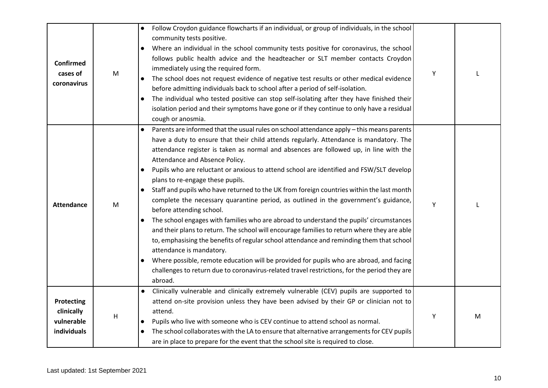| <b>Confirmed</b><br>cases of<br>coronavirus                  | M | Follow Croydon guidance flowcharts if an individual, or group of individuals, in the school<br>$\bullet$<br>community tests positive.<br>Where an individual in the school community tests positive for coronavirus, the school<br>follows public health advice and the headteacher or SLT member contacts Croydon<br>immediately using the required form.<br>The school does not request evidence of negative test results or other medical evidence<br>before admitting individuals back to school after a period of self-isolation.<br>The individual who tested positive can stop self-isolating after they have finished their<br>$\bullet$<br>isolation period and their symptoms have gone or if they continue to only have a residual<br>cough or anosmia.                                                                                                                                                                                                                                                                                                                                                                                                                                              | Υ |   |
|--------------------------------------------------------------|---|-----------------------------------------------------------------------------------------------------------------------------------------------------------------------------------------------------------------------------------------------------------------------------------------------------------------------------------------------------------------------------------------------------------------------------------------------------------------------------------------------------------------------------------------------------------------------------------------------------------------------------------------------------------------------------------------------------------------------------------------------------------------------------------------------------------------------------------------------------------------------------------------------------------------------------------------------------------------------------------------------------------------------------------------------------------------------------------------------------------------------------------------------------------------------------------------------------------------|---|---|
| <b>Attendance</b>                                            | M | Parents are informed that the usual rules on school attendance apply – this means parents<br>have a duty to ensure that their child attends regularly. Attendance is mandatory. The<br>attendance register is taken as normal and absences are followed up, in line with the<br>Attendance and Absence Policy.<br>Pupils who are reluctant or anxious to attend school are identified and FSW/SLT develop<br>plans to re-engage these pupils.<br>Staff and pupils who have returned to the UK from foreign countries within the last month<br>$\bullet$<br>complete the necessary quarantine period, as outlined in the government's guidance,<br>before attending school.<br>The school engages with families who are abroad to understand the pupils' circumstances<br>$\bullet$<br>and their plans to return. The school will encourage families to return where they are able<br>to, emphasising the benefits of regular school attendance and reminding them that school<br>attendance is mandatory.<br>Where possible, remote education will be provided for pupils who are abroad, and facing<br>challenges to return due to coronavirus-related travel restrictions, for the period they are<br>abroad. | Y |   |
| <b>Protecting</b><br>clinically<br>vulnerable<br>individuals | H | Clinically vulnerable and clinically extremely vulnerable (CEV) pupils are supported to<br>attend on-site provision unless they have been advised by their GP or clinician not to<br>attend.<br>Pupils who live with someone who is CEV continue to attend school as normal.<br>$\bullet$<br>The school collaborates with the LA to ensure that alternative arrangements for CEV pupils<br>are in place to prepare for the event that the school site is required to close.                                                                                                                                                                                                                                                                                                                                                                                                                                                                                                                                                                                                                                                                                                                                     | Υ | M |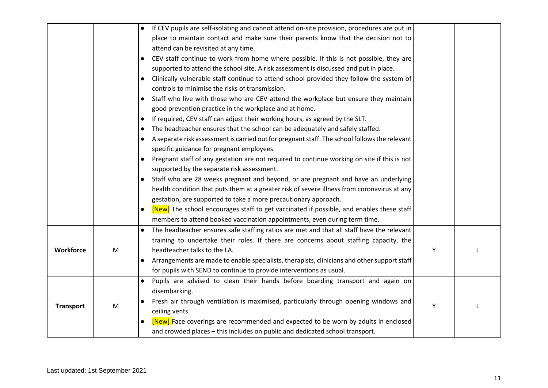|                  |   | If CEV pupils are self-isolating and cannot attend on-site provision, procedures are put in<br>$\bullet$   |   |  |
|------------------|---|------------------------------------------------------------------------------------------------------------|---|--|
|                  |   | place to maintain contact and make sure their parents know that the decision not to                        |   |  |
|                  |   | attend can be revisited at any time.                                                                       |   |  |
|                  |   | CEV staff continue to work from home where possible. If this is not possible, they are<br>$\bullet$        |   |  |
|                  |   | supported to attend the school site. A risk assessment is discussed and put in place.                      |   |  |
|                  |   | Clinically vulnerable staff continue to attend school provided they follow the system of<br>$\bullet$      |   |  |
|                  |   | controls to minimise the risks of transmission.                                                            |   |  |
|                  |   | Staff who live with those who are CEV attend the workplace but ensure they maintain<br>$\bullet$           |   |  |
|                  |   | good prevention practice in the workplace and at home.                                                     |   |  |
|                  |   | If required, CEV staff can adjust their working hours, as agreed by the SLT.<br>$\bullet$                  |   |  |
|                  |   | The headteacher ensures that the school can be adequately and safely staffed.<br>$\bullet$                 |   |  |
|                  |   | A separate risk assessment is carried out for pregnant staff. The school follows the relevant<br>$\bullet$ |   |  |
|                  |   | specific guidance for pregnant employees.                                                                  |   |  |
|                  |   | Pregnant staff of any gestation are not required to continue working on site if this is not<br>$\bullet$   |   |  |
|                  |   | supported by the separate risk assessment.                                                                 |   |  |
|                  |   | Staff who are 28 weeks pregnant and beyond, or are pregnant and have an underlying                         |   |  |
|                  |   | health condition that puts them at a greater risk of severe illness from coronavirus at any                |   |  |
|                  |   | gestation, are supported to take a more precautionary approach.                                            |   |  |
|                  |   | [New] The school encourages staff to get vaccinated if possible, and enables these staff<br>$\bullet$      |   |  |
|                  |   | members to attend booked vaccination appointments, even during term time.                                  |   |  |
|                  |   | The headteacher ensures safe staffing ratios are met and that all staff have the relevant                  |   |  |
|                  |   | training to undertake their roles. If there are concerns about staffing capacity, the                      |   |  |
| Workforce        | M | headteacher talks to the LA.                                                                               | Υ |  |
|                  |   | Arrangements are made to enable specialists, therapists, clinicians and other support staff<br>$\bullet$   |   |  |
|                  |   | for pupils with SEND to continue to provide interventions as usual.                                        |   |  |
|                  |   | Pupils are advised to clean their hands before boarding transport and again on                             |   |  |
| <b>Transport</b> |   | disembarking.                                                                                              |   |  |
|                  | M | Fresh air through ventilation is maximised, particularly through opening windows and                       | Y |  |
|                  |   | ceiling vents.                                                                                             |   |  |
|                  |   | [New] Face coverings are recommended and expected to be worn by adults in enclosed                         |   |  |
|                  |   | and crowded places - this includes on public and dedicated school transport.                               |   |  |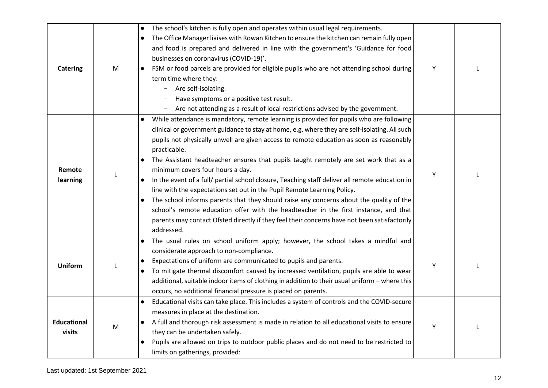| <b>Catering</b>              | M | The school's kitchen is fully open and operates within usual legal requirements.<br>$\bullet$<br>The Office Manager liaises with Rowan Kitchen to ensure the kitchen can remain fully open<br>$\bullet$<br>and food is prepared and delivered in line with the government's 'Guidance for food<br>businesses on coronavirus (COVID-19)'.<br>FSM or food parcels are provided for eligible pupils who are not attending school during<br>$\bullet$<br>term time where they:<br>Are self-isolating.<br>$\overline{\phantom{a}}$<br>Have symptoms or a positive test result.<br>Are not attending as a result of local restrictions advised by the government.                                                                                                                                                                                                                                                                                          | Y |  |
|------------------------------|---|------------------------------------------------------------------------------------------------------------------------------------------------------------------------------------------------------------------------------------------------------------------------------------------------------------------------------------------------------------------------------------------------------------------------------------------------------------------------------------------------------------------------------------------------------------------------------------------------------------------------------------------------------------------------------------------------------------------------------------------------------------------------------------------------------------------------------------------------------------------------------------------------------------------------------------------------------|---|--|
| Remote<br>learning           |   | While attendance is mandatory, remote learning is provided for pupils who are following<br>$\bullet$<br>clinical or government guidance to stay at home, e.g. where they are self-isolating. All such<br>pupils not physically unwell are given access to remote education as soon as reasonably<br>practicable.<br>The Assistant headteacher ensures that pupils taught remotely are set work that as a<br>minimum covers four hours a day.<br>In the event of a full/ partial school closure, Teaching staff deliver all remote education in<br>$\bullet$<br>line with the expectations set out in the Pupil Remote Learning Policy.<br>The school informs parents that they should raise any concerns about the quality of the<br>$\bullet$<br>school's remote education offer with the headteacher in the first instance, and that<br>parents may contact Ofsted directly if they feel their concerns have not been satisfactorily<br>addressed. | Y |  |
| <b>Uniform</b>               |   | The usual rules on school uniform apply; however, the school takes a mindful and<br>considerate approach to non-compliance.<br>Expectations of uniform are communicated to pupils and parents.<br>$\bullet$<br>To mitigate thermal discomfort caused by increased ventilation, pupils are able to wear<br>$\bullet$<br>additional, suitable indoor items of clothing in addition to their usual uniform - where this<br>occurs, no additional financial pressure is placed on parents.                                                                                                                                                                                                                                                                                                                                                                                                                                                               | Υ |  |
| <b>Educational</b><br>visits | M | Educational visits can take place. This includes a system of controls and the COVID-secure<br>$\bullet$<br>measures in place at the destination.<br>A full and thorough risk assessment is made in relation to all educational visits to ensure<br>they can be undertaken safely.<br>Pupils are allowed on trips to outdoor public places and do not need to be restricted to<br>$\bullet$<br>limits on gatherings, provided:                                                                                                                                                                                                                                                                                                                                                                                                                                                                                                                        | Y |  |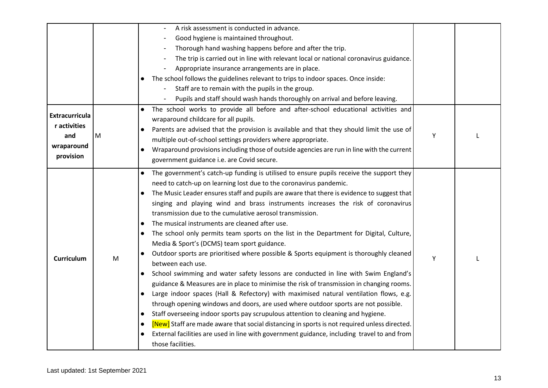|                       |   | A risk assessment is conducted in advance.                                                                |   |  |
|-----------------------|---|-----------------------------------------------------------------------------------------------------------|---|--|
|                       |   | Good hygiene is maintained throughout.                                                                    |   |  |
|                       |   | Thorough hand washing happens before and after the trip.                                                  |   |  |
|                       |   | The trip is carried out in line with relevant local or national coronavirus guidance.                     |   |  |
|                       |   | Appropriate insurance arrangements are in place.                                                          |   |  |
|                       |   | The school follows the guidelines relevant to trips to indoor spaces. Once inside:                        |   |  |
|                       |   | Staff are to remain with the pupils in the group.                                                         |   |  |
|                       |   | Pupils and staff should wash hands thoroughly on arrival and before leaving.<br>$\overline{\phantom{a}}$  |   |  |
|                       |   | The school works to provide all before and after-school educational activities and                        |   |  |
| <b>Extracurricula</b> |   | wraparound childcare for all pupils.                                                                      |   |  |
| r activities          |   | Parents are advised that the provision is available and that they should limit the use of<br>$\bullet$    |   |  |
| and                   | M | multiple out-of-school settings providers where appropriate.                                              | Y |  |
| wraparound            |   | Wraparound provisions including those of outside agencies are run in line with the current                |   |  |
| provision             |   | government guidance i.e. are Covid secure.                                                                |   |  |
|                       |   | The government's catch-up funding is utilised to ensure pupils receive the support they<br>$\bullet$      |   |  |
|                       |   | need to catch-up on learning lost due to the coronavirus pandemic.                                        |   |  |
|                       |   | The Music Leader ensures staff and pupils are aware that there is evidence to suggest that                |   |  |
|                       |   | singing and playing wind and brass instruments increases the risk of coronavirus                          |   |  |
|                       |   | transmission due to the cumulative aerosol transmission.                                                  |   |  |
|                       |   | The musical instruments are cleaned after use.                                                            |   |  |
|                       |   | The school only permits team sports on the list in the Department for Digital, Culture,<br>$\bullet$      |   |  |
|                       |   | Media & Sport's (DCMS) team sport guidance.                                                               |   |  |
|                       |   | Outdoor sports are prioritised where possible & Sports equipment is thoroughly cleaned                    |   |  |
| <b>Curriculum</b>     | M | between each use.                                                                                         | Y |  |
|                       |   | School swimming and water safety lessons are conducted in line with Swim England's<br>$\bullet$           |   |  |
|                       |   | guidance & Measures are in place to minimise the risk of transmission in changing rooms.                  |   |  |
|                       |   | Large indoor spaces (Hall & Refectory) with maximised natural ventilation flows, e.g.<br>$\bullet$        |   |  |
|                       |   | through opening windows and doors, are used where outdoor sports are not possible.                        |   |  |
|                       |   | Staff overseeing indoor sports pay scrupulous attention to cleaning and hygiene.<br>$\bullet$             |   |  |
|                       |   | [New] Staff are made aware that social distancing in sports is not required unless directed.<br>$\bullet$ |   |  |
|                       |   | External facilities are used in line with government guidance, including travel to and from               |   |  |
|                       |   | those facilities.                                                                                         |   |  |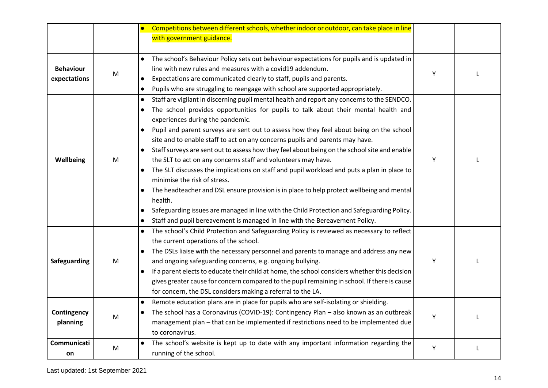|                                  |           | Competitions between different schools, whether indoor or outdoor, can take place in line                  |   |  |
|----------------------------------|-----------|------------------------------------------------------------------------------------------------------------|---|--|
|                                  |           | with government guidance.                                                                                  |   |  |
|                                  |           |                                                                                                            |   |  |
|                                  |           | The school's Behaviour Policy sets out behaviour expectations for pupils and is updated in                 |   |  |
| <b>Behaviour</b><br>expectations | ${\sf M}$ | line with new rules and measures with a covid19 addendum.                                                  | Υ |  |
|                                  |           | Expectations are communicated clearly to staff, pupils and parents.<br>$\bullet$                           |   |  |
|                                  |           | Pupils who are struggling to reengage with school are supported appropriately.<br>$\bullet$                |   |  |
|                                  |           | Staff are vigilant in discerning pupil mental health and report any concerns to the SENDCO.<br>$\bullet$   |   |  |
|                                  |           | The school provides opportunities for pupils to talk about their mental health and<br>$\bullet$            |   |  |
|                                  |           | experiences during the pandemic.                                                                           |   |  |
|                                  |           | Pupil and parent surveys are sent out to assess how they feel about being on the school<br>$\bullet$       |   |  |
|                                  |           | site and to enable staff to act on any concerns pupils and parents may have.                               |   |  |
| Wellbeing                        |           | Staff surveys are sent out to assess how they feel about being on the school site and enable<br>$\bullet$  |   |  |
|                                  | M         | the SLT to act on any concerns staff and volunteers may have.                                              | Y |  |
|                                  |           | The SLT discusses the implications on staff and pupil workload and puts a plan in place to                 |   |  |
|                                  |           | minimise the risk of stress.                                                                               |   |  |
|                                  |           | The headteacher and DSL ensure provision is in place to help protect wellbeing and mental<br>$\bullet$     |   |  |
|                                  |           | health.                                                                                                    |   |  |
|                                  |           | Safeguarding issues are managed in line with the Child Protection and Safeguarding Policy.                 |   |  |
|                                  |           | Staff and pupil bereavement is managed in line with the Bereavement Policy.                                |   |  |
|                                  |           | The school's Child Protection and Safeguarding Policy is reviewed as necessary to reflect<br>$\bullet$     |   |  |
|                                  |           | the current operations of the school.                                                                      |   |  |
|                                  | ${\sf M}$ | The DSLs liaise with the necessary personnel and parents to manage and address any new<br>$\bullet$        |   |  |
| Safeguarding                     |           | and ongoing safeguarding concerns, e.g. ongoing bullying.                                                  | Y |  |
|                                  |           | If a parent elects to educate their child at home, the school considers whether this decision<br>$\bullet$ |   |  |
|                                  |           | gives greater cause for concern compared to the pupil remaining in school. If there is cause               |   |  |
|                                  |           | for concern, the DSL considers making a referral to the LA.                                                |   |  |
|                                  |           | Remote education plans are in place for pupils who are self-isolating or shielding.<br>$\bullet$           |   |  |
| Contingency                      | ${\sf M}$ | The school has a Coronavirus (COVID-19): Contingency Plan - also known as an outbreak<br>$\bullet$         | Υ |  |
| planning                         |           | management plan - that can be implemented if restrictions need to be implemented due                       |   |  |
|                                  |           | to coronavirus.                                                                                            |   |  |
| Communicati                      |           | The school's website is kept up to date with any important information regarding the                       | Υ |  |
| on                               | M         | running of the school.                                                                                     |   |  |